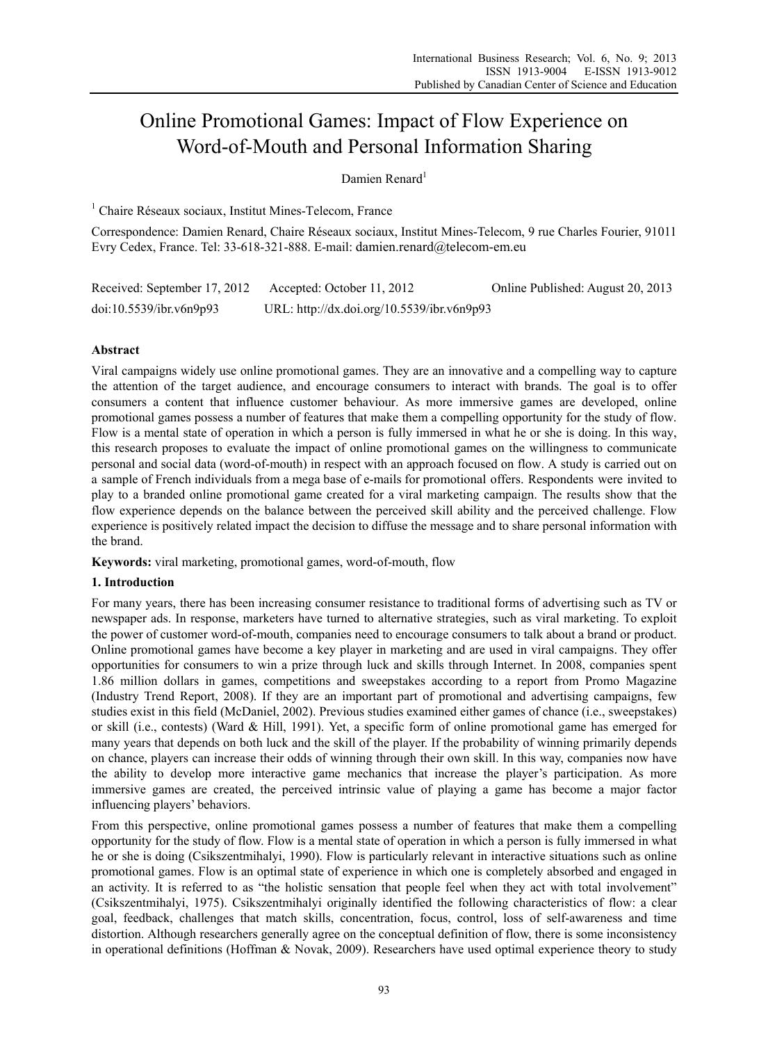# Online Promotional Games: Impact of Flow Experience on Word-of-Mouth and Personal Information Sharing

## Damien Renard<sup>1</sup>

<sup>1</sup> Chaire Réseaux sociaux, Institut Mines-Telecom, France

Correspondence: Damien Renard, Chaire Réseaux sociaux, Institut Mines-Telecom, 9 rue Charles Fourier, 91011 Evry Cedex, France. Tel: 33-618-321-888. E-mail: damien.renard@telecom-em.eu

| Received: September 17, 2012 | Accepted: October 11, 2012                 | Online Published: August 20, 2013 |
|------------------------------|--------------------------------------------|-----------------------------------|
| doi:10.5539/ibr.v6n9p93      | URL: http://dx.doi.org/10.5539/ibr.v6n9p93 |                                   |

## **Abstract**

Viral campaigns widely use online promotional games. They are an innovative and a compelling way to capture the attention of the target audience, and encourage consumers to interact with brands. The goal is to offer consumers a content that influence customer behaviour. As more immersive games are developed, online promotional games possess a number of features that make them a compelling opportunity for the study of flow. Flow is a mental state of operation in which a person is fully immersed in what he or she is doing. In this way, this research proposes to evaluate the impact of online promotional games on the willingness to communicate personal and social data (word-of-mouth) in respect with an approach focused on flow. A study is carried out on a sample of French individuals from a mega base of e-mails for promotional offers. Respondents were invited to play to a branded online promotional game created for a viral marketing campaign. The results show that the flow experience depends on the balance between the perceived skill ability and the perceived challenge. Flow experience is positively related impact the decision to diffuse the message and to share personal information with the brand.

**Keywords:** viral marketing, promotional games, word-of-mouth, flow

# **1. Introduction**

For many years, there has been increasing consumer resistance to traditional forms of advertising such as TV or newspaper ads. In response, marketers have turned to alternative strategies, such as viral marketing. To exploit the power of customer word-of-mouth, companies need to encourage consumers to talk about a brand or product. Online promotional games have become a key player in marketing and are used in viral campaigns. They offer opportunities for consumers to win a prize through luck and skills through Internet. In 2008, companies spent 1.86 million dollars in games, competitions and sweepstakes according to a report from Promo Magazine (Industry Trend Report, 2008). If they are an important part of promotional and advertising campaigns, few studies exist in this field (McDaniel, 2002). Previous studies examined either games of chance (i.e., sweepstakes) or skill (i.e., contests) (Ward & Hill, 1991). Yet, a specific form of online promotional game has emerged for many years that depends on both luck and the skill of the player. If the probability of winning primarily depends on chance, players can increase their odds of winning through their own skill. In this way, companies now have the ability to develop more interactive game mechanics that increase the player's participation. As more immersive games are created, the perceived intrinsic value of playing a game has become a major factor influencing players' behaviors.

From this perspective, online promotional games possess a number of features that make them a compelling opportunity for the study of flow. Flow is a mental state of operation in which a person is fully immersed in what he or she is doing (Csikszentmihalyi, 1990). Flow is particularly relevant in interactive situations such as online promotional games. Flow is an optimal state of experience in which one is completely absorbed and engaged in an activity. It is referred to as "the holistic sensation that people feel when they act with total involvement" (Csikszentmihalyi, 1975). Csikszentmihalyi originally identified the following characteristics of flow: a clear goal, feedback, challenges that match skills, concentration, focus, control, loss of self-awareness and time distortion. Although researchers generally agree on the conceptual definition of flow, there is some inconsistency in operational definitions (Hoffman & Novak, 2009). Researchers have used optimal experience theory to study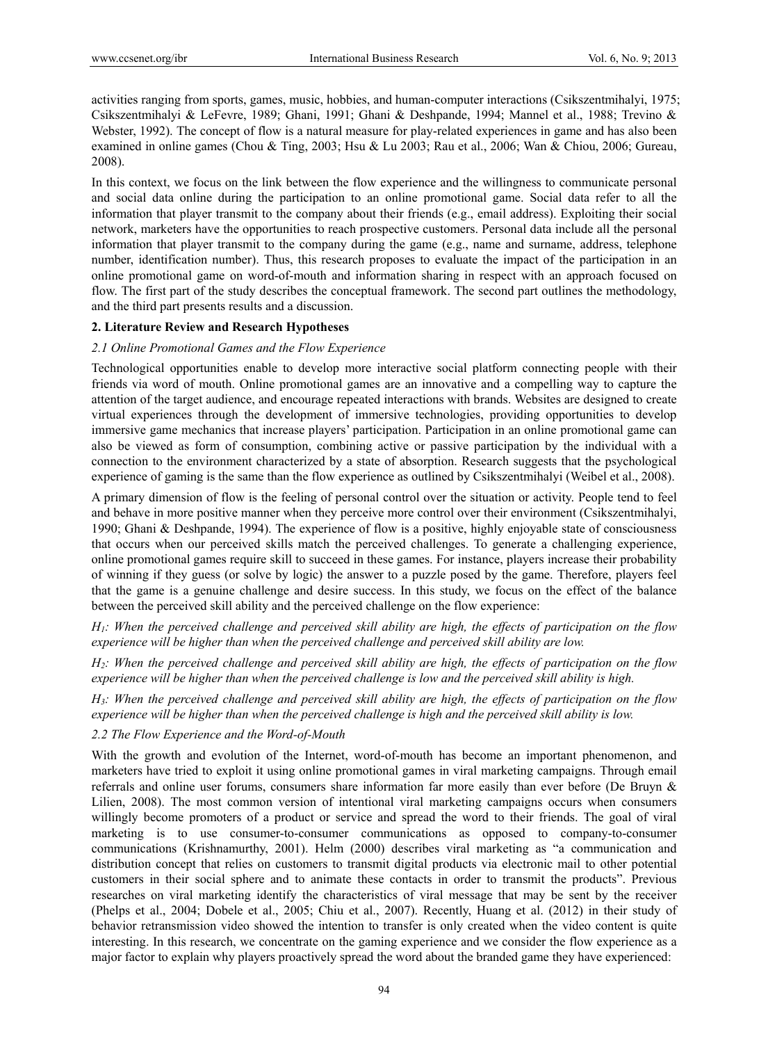activities ranging from sports, games, music, hobbies, and human-computer interactions (Csikszentmihalyi, 1975; Csikszentmihalyi & LeFevre, 1989; Ghani, 1991; Ghani & Deshpande, 1994; Mannel et al., 1988; Trevino & Webster, 1992). The concept of flow is a natural measure for play-related experiences in game and has also been examined in online games (Chou & Ting, 2003; Hsu & Lu 2003; Rau et al., 2006; Wan & Chiou, 2006; Gureau, 2008).

In this context, we focus on the link between the flow experience and the willingness to communicate personal and social data online during the participation to an online promotional game. Social data refer to all the information that player transmit to the company about their friends (e.g., email address). Exploiting their social network, marketers have the opportunities to reach prospective customers. Personal data include all the personal information that player transmit to the company during the game (e.g., name and surname, address, telephone number, identification number). Thus, this research proposes to evaluate the impact of the participation in an online promotional game on word-of-mouth and information sharing in respect with an approach focused on flow. The first part of the study describes the conceptual framework. The second part outlines the methodology, and the third part presents results and a discussion.

#### **2. Literature Review and Research Hypotheses**

#### *2.1 Online Promotional Games and the Flow Experience*

Technological opportunities enable to develop more interactive social platform connecting people with their friends via word of mouth. Online promotional games are an innovative and a compelling way to capture the attention of the target audience, and encourage repeated interactions with brands. Websites are designed to create virtual experiences through the development of immersive technologies, providing opportunities to develop immersive game mechanics that increase players' participation. Participation in an online promotional game can also be viewed as form of consumption, combining active or passive participation by the individual with a connection to the environment characterized by a state of absorption. Research suggests that the psychological experience of gaming is the same than the flow experience as outlined by Csikszentmihalyi (Weibel et al., 2008).

A primary dimension of flow is the feeling of personal control over the situation or activity. People tend to feel and behave in more positive manner when they perceive more control over their environment (Csikszentmihalyi, 1990; Ghani & Deshpande, 1994). The experience of flow is a positive, highly enjoyable state of consciousness that occurs when our perceived skills match the perceived challenges. To generate a challenging experience, online promotional games require skill to succeed in these games. For instance, players increase their probability of winning if they guess (or solve by logic) the answer to a puzzle posed by the game. Therefore, players feel that the game is a genuine challenge and desire success. In this study, we focus on the effect of the balance between the perceived skill ability and the perceived challenge on the flow experience:

*H1: When the perceived challenge and perceived skill ability are high, the effects of participation on the flow experience will be higher than when the perceived challenge and perceived skill ability are low.* 

*H2: When the perceived challenge and perceived skill ability are high, the effects of participation on the flow experience will be higher than when the perceived challenge is low and the perceived skill ability is high.* 

*H3: When the perceived challenge and perceived skill ability are high, the effects of participation on the flow experience will be higher than when the perceived challenge is high and the perceived skill ability is low.* 

#### *2.2 The Flow Experience and the Word-of-Mouth*

With the growth and evolution of the Internet, word-of-mouth has become an important phenomenon, and marketers have tried to exploit it using online promotional games in viral marketing campaigns. Through email referrals and online user forums, consumers share information far more easily than ever before (De Bruyn & Lilien, 2008). The most common version of intentional viral marketing campaigns occurs when consumers willingly become promoters of a product or service and spread the word to their friends. The goal of viral marketing is to use consumer-to-consumer communications as opposed to company-to-consumer communications (Krishnamurthy, 2001). Helm (2000) describes viral marketing as "a communication and distribution concept that relies on customers to transmit digital products via electronic mail to other potential customers in their social sphere and to animate these contacts in order to transmit the products". Previous researches on viral marketing identify the characteristics of viral message that may be sent by the receiver (Phelps et al., 2004; Dobele et al., 2005; Chiu et al., 2007). Recently, Huang et al. (2012) in their study of behavior retransmission video showed the intention to transfer is only created when the video content is quite interesting. In this research, we concentrate on the gaming experience and we consider the flow experience as a major factor to explain why players proactively spread the word about the branded game they have experienced: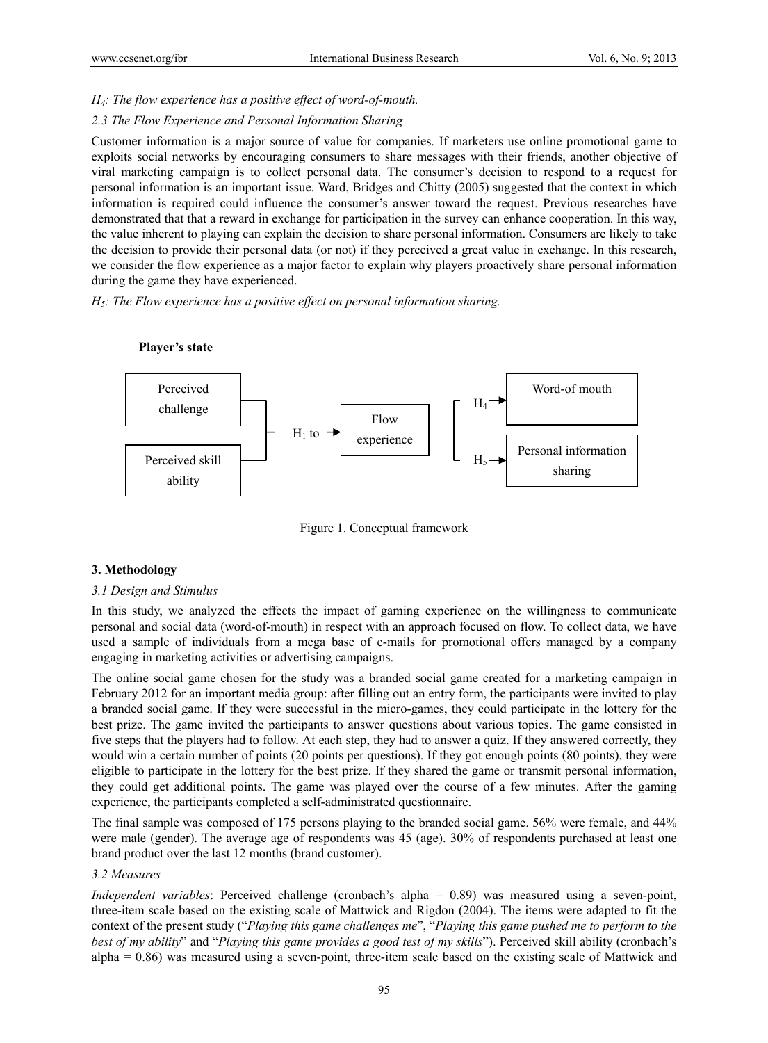# *H4: The flow experience has a positive effect of word-of-mouth.*

#### *2.3 The Flow Experience and Personal Information Sharing*

Customer information is a major source of value for companies. If marketers use online promotional game to exploits social networks by encouraging consumers to share messages with their friends, another objective of viral marketing campaign is to collect personal data. The consumer's decision to respond to a request for personal information is an important issue. Ward, Bridges and Chitty (2005) suggested that the context in which information is required could influence the consumer's answer toward the request. Previous researches have demonstrated that that a reward in exchange for participation in the survey can enhance cooperation. In this way, the value inherent to playing can explain the decision to share personal information. Consumers are likely to take the decision to provide their personal data (or not) if they perceived a great value in exchange. In this research, we consider the flow experience as a major factor to explain why players proactively share personal information during the game they have experienced.

*H5: The Flow experience has a positive effect on personal information sharing.* 



Figure 1. Conceptual framework

#### **3. Methodology**

#### *3.1 Design and Stimulus*

In this study, we analyzed the effects the impact of gaming experience on the willingness to communicate personal and social data (word-of-mouth) in respect with an approach focused on flow. To collect data, we have used a sample of individuals from a mega base of e-mails for promotional offers managed by a company engaging in marketing activities or advertising campaigns.

The online social game chosen for the study was a branded social game created for a marketing campaign in February 2012 for an important media group: after filling out an entry form, the participants were invited to play a branded social game. If they were successful in the micro-games, they could participate in the lottery for the best prize. The game invited the participants to answer questions about various topics. The game consisted in five steps that the players had to follow. At each step, they had to answer a quiz. If they answered correctly, they would win a certain number of points (20 points per questions). If they got enough points (80 points), they were eligible to participate in the lottery for the best prize. If they shared the game or transmit personal information, they could get additional points. The game was played over the course of a few minutes. After the gaming experience, the participants completed a self-administrated questionnaire.

The final sample was composed of 175 persons playing to the branded social game. 56% were female, and 44% were male (gender). The average age of respondents was 45 (age). 30% of respondents purchased at least one brand product over the last 12 months (brand customer).

#### *3.2 Measures*

*Independent variables*: Perceived challenge (cronbach's alpha = 0.89) was measured using a seven-point, three-item scale based on the existing scale of Mattwick and Rigdon (2004). The items were adapted to fit the context of the present study ("*Playing this game challenges me*", "*Playing this game pushed me to perform to the best of my ability*" and "*Playing this game provides a good test of my skills*"). Perceived skill ability (cronbach's  $alpha = 0.86$ ) was measured using a seven-point, three-item scale based on the existing scale of Mattwick and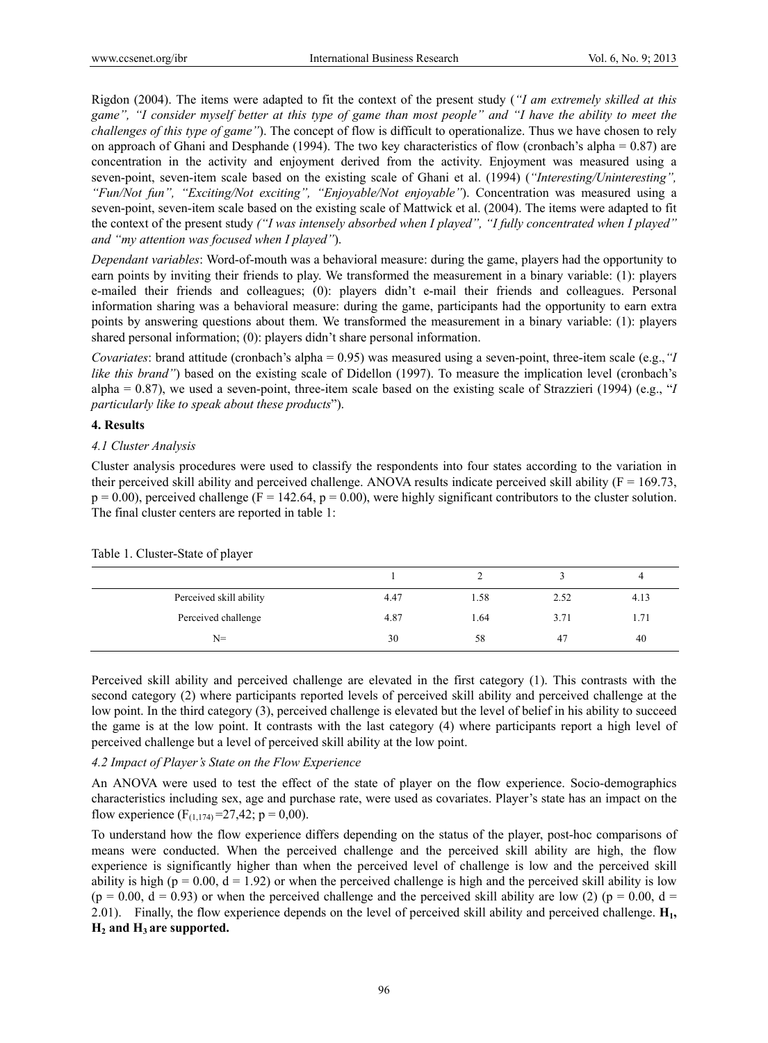Rigdon (2004). The items were adapted to fit the context of the present study (*"I am extremely skilled at this game", "I consider myself better at this type of game than most people" and "I have the ability to meet the challenges of this type of game"*). The concept of flow is difficult to operationalize. Thus we have chosen to rely on approach of Ghani and Desphande (1994). The two key characteristics of flow (cronbach's alpha = 0.87) are concentration in the activity and enjoyment derived from the activity. Enjoyment was measured using a seven-point, seven-item scale based on the existing scale of Ghani et al. (1994) (*"Interesting/Uninteresting", "Fun/Not fun", "Exciting/Not exciting", "Enjoyable/Not enjoyable"*). Concentration was measured using a seven-point, seven-item scale based on the existing scale of Mattwick et al. (2004). The items were adapted to fit the context of the present study *("I was intensely absorbed when I played", "I fully concentrated when I played" and "my attention was focused when I played"*).

*Dependant variables*: Word-of-mouth was a behavioral measure: during the game, players had the opportunity to earn points by inviting their friends to play. We transformed the measurement in a binary variable: (1): players e-mailed their friends and colleagues; (0): players didn't e-mail their friends and colleagues. Personal information sharing was a behavioral measure: during the game, participants had the opportunity to earn extra points by answering questions about them. We transformed the measurement in a binary variable: (1): players shared personal information; (0): players didn't share personal information.

*Covariates*: brand attitude (cronbach's alpha = 0.95) was measured using a seven-point, three-item scale (e.g.,*"I like this brand"*) based on the existing scale of Didellon (1997). To measure the implication level (cronbach's alpha = 0.87), we used a seven-point, three-item scale based on the existing scale of Strazzieri (1994) (e.g., "*I particularly like to speak about these products*").

## **4. Results**

## *4.1 Cluster Analysis*

Cluster analysis procedures were used to classify the respondents into four states according to the variation in their perceived skill ability and perceived challenge. ANOVA results indicate perceived skill ability ( $F = 169.73$ ,  $p = 0.00$ ), perceived challenge (F = 142.64, p = 0.00), were highly significant contributors to the cluster solution. The final cluster centers are reported in table 1:

|                         |      |      |      | 4    |  |  |
|-------------------------|------|------|------|------|--|--|
| Perceived skill ability | 4.47 | 1.58 | 2.52 | 4.13 |  |  |
| Perceived challenge     | 4.87 | 1.64 | 3.71 | 1.71 |  |  |
| $N=$                    | 30   | 58   | 47   | 40   |  |  |

Table 1. Cluster-State of player

Perceived skill ability and perceived challenge are elevated in the first category (1). This contrasts with the second category (2) where participants reported levels of perceived skill ability and perceived challenge at the low point. In the third category (3), perceived challenge is elevated but the level of belief in his ability to succeed the game is at the low point. It contrasts with the last category (4) where participants report a high level of perceived challenge but a level of perceived skill ability at the low point.

#### *4.2 Impact of Player's State on the Flow Experience*

An ANOVA were used to test the effect of the state of player on the flow experience. Socio-demographics characteristics including sex, age and purchase rate, were used as covariates. Player's state has an impact on the flow experience  $(F_{(1,174)} = 27,42; p = 0,00)$ .

To understand how the flow experience differs depending on the status of the player, post-hoc comparisons of means were conducted. When the perceived challenge and the perceived skill ability are high, the flow experience is significantly higher than when the perceived level of challenge is low and the perceived skill ability is high ( $p = 0.00$ ,  $d = 1.92$ ) or when the perceived challenge is high and the perceived skill ability is low  $(p = 0.00, d = 0.93)$  or when the perceived challenge and the perceived skill ability are low (2)  $(p = 0.00, d = 0.00)$ 2.01). Finally, the flow experience depends on the level of perceived skill ability and perceived challenge. **H<sub>1</sub> H2 and H3 are supported.**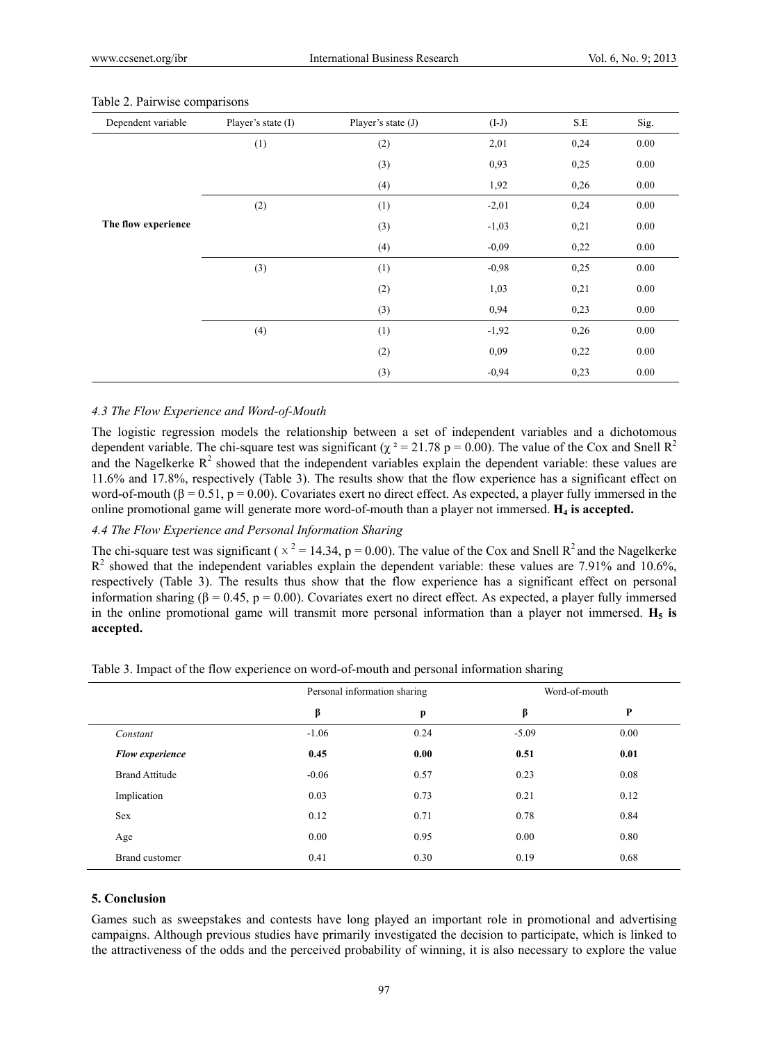| Dependent variable  | Player's state (I) | Player's state (J) | $(I-J)$ | $S.E$ | Sig. |
|---------------------|--------------------|--------------------|---------|-------|------|
|                     | (1)                | (2)                | 2,01    | 0,24  | 0.00 |
|                     |                    | (3)                | 0,93    | 0,25  | 0.00 |
| The flow experience |                    | (4)                | 1,92    | 0,26  | 0.00 |
|                     | (2)                | (1)                | $-2,01$ | 0,24  | 0.00 |
|                     |                    | (3)                | $-1,03$ | 0,21  | 0.00 |
|                     |                    | (4)                | $-0,09$ | 0,22  | 0.00 |
|                     | (3)                | (1)                | $-0,98$ | 0,25  | 0.00 |
|                     |                    | (2)                | 1,03    | 0,21  | 0.00 |
|                     |                    | (3)                | 0,94    | 0,23  | 0.00 |
|                     | (4)                | (1)                | $-1,92$ | 0,26  | 0.00 |
|                     |                    | (2)                | 0,09    | 0,22  | 0.00 |
|                     |                    | (3)                | $-0,94$ | 0,23  | 0.00 |

#### Table 2. Pairwise comparisons

#### *4.3 The Flow Experience and Word-of-Mouth*

The logistic regression models the relationship between a set of independent variables and a dichotomous dependent variable. The chi-square test was significant ( $\chi^2 = 21.78$  p = 0.00). The value of the Cox and Snell R<sup>2</sup> and the Nagelkerke  $R^2$  showed that the independent variables explain the dependent variable: these values are 11.6% and 17.8%, respectively (Table 3). The results show that the flow experience has a significant effect on word-of-mouth  $(\beta = 0.51, p = 0.00)$ . Covariates exert no direct effect. As expected, a player fully immersed in the online promotional game will generate more word-of-mouth than a player not immersed. **H4 is accepted.** 

# *4.4 The Flow Experience and Personal Information Sharing*

The chi-square test was significant ( $x^2 = 14.34$ ,  $p = 0.00$ ). The value of the Cox and Snell R<sup>2</sup> and the Nagelkerke  $R<sup>2</sup>$  showed that the independent variables explain the dependent variable: these values are 7.91% and 10.6%, respectively (Table 3). The results thus show that the flow experience has a significant effect on personal information sharing (β = 0.45, p = 0.00). Covariates exert no direct effect. As expected, a player fully immersed in the online promotional game will transmit more personal information than a player not immersed.  $H_5$  is **accepted.**

#### Table 3. Impact of the flow experience on word-of-mouth and personal information sharing

|                       | Personal information sharing |      | Word-of-mouth |      |
|-----------------------|------------------------------|------|---------------|------|
|                       | β                            | p    | β             | P    |
| Constant              | $-1.06$                      | 0.24 | $-5.09$       | 0.00 |
| Flow experience       | 0.45                         | 0.00 | 0.51          | 0.01 |
| <b>Brand Attitude</b> | $-0.06$                      | 0.57 | 0.23          | 0.08 |
| Implication           | 0.03                         | 0.73 | 0.21          | 0.12 |
| Sex                   | 0.12                         | 0.71 | 0.78          | 0.84 |
| Age                   | 0.00                         | 0.95 | 0.00          | 0.80 |
| Brand customer        | 0.41                         | 0.30 | 0.19          | 0.68 |

# **5. Conclusion**

Games such as sweepstakes and contests have long played an important role in promotional and advertising campaigns. Although previous studies have primarily investigated the decision to participate, which is linked to the attractiveness of the odds and the perceived probability of winning, it is also necessary to explore the value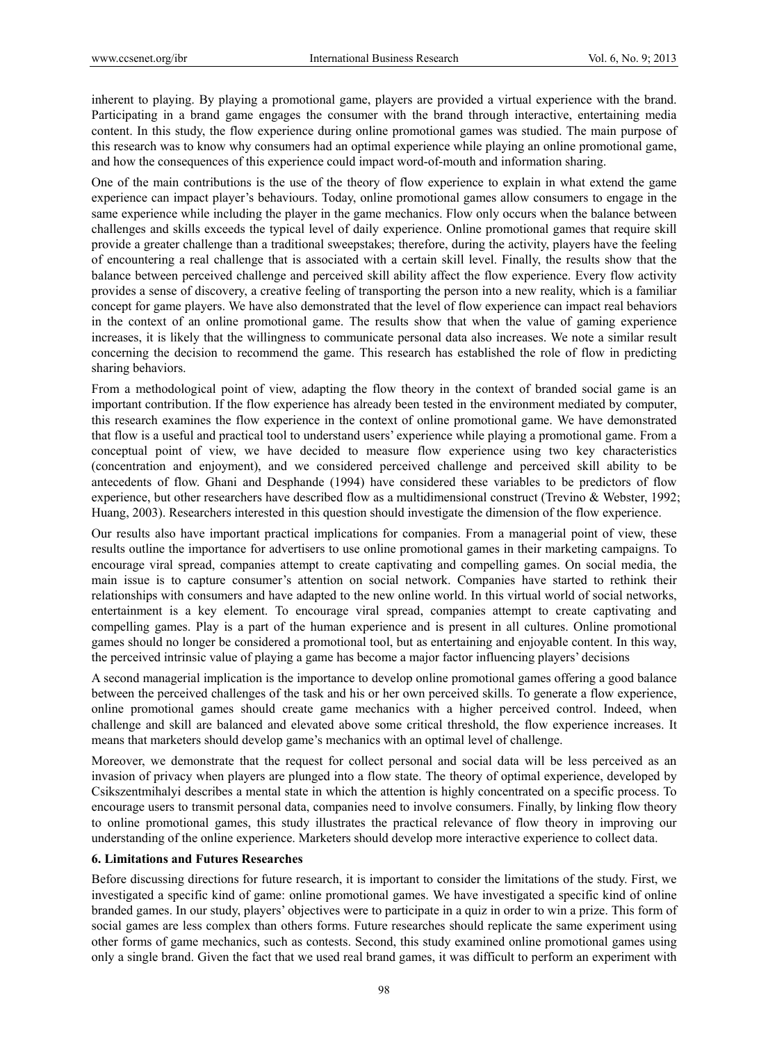inherent to playing. By playing a promotional game, players are provided a virtual experience with the brand. Participating in a brand game engages the consumer with the brand through interactive, entertaining media content. In this study, the flow experience during online promotional games was studied. The main purpose of this research was to know why consumers had an optimal experience while playing an online promotional game, and how the consequences of this experience could impact word-of-mouth and information sharing.

One of the main contributions is the use of the theory of flow experience to explain in what extend the game experience can impact player's behaviours. Today, online promotional games allow consumers to engage in the same experience while including the player in the game mechanics. Flow only occurs when the balance between challenges and skills exceeds the typical level of daily experience. Online promotional games that require skill provide a greater challenge than a traditional sweepstakes; therefore, during the activity, players have the feeling of encountering a real challenge that is associated with a certain skill level. Finally, the results show that the balance between perceived challenge and perceived skill ability affect the flow experience. Every flow activity provides a sense of discovery, a creative feeling of transporting the person into a new reality, which is a familiar concept for game players. We have also demonstrated that the level of flow experience can impact real behaviors in the context of an online promotional game. The results show that when the value of gaming experience increases, it is likely that the willingness to communicate personal data also increases. We note a similar result concerning the decision to recommend the game. This research has established the role of flow in predicting sharing behaviors.

From a methodological point of view, adapting the flow theory in the context of branded social game is an important contribution. If the flow experience has already been tested in the environment mediated by computer, this research examines the flow experience in the context of online promotional game. We have demonstrated that flow is a useful and practical tool to understand users' experience while playing a promotional game. From a conceptual point of view, we have decided to measure flow experience using two key characteristics (concentration and enjoyment), and we considered perceived challenge and perceived skill ability to be antecedents of flow. Ghani and Desphande (1994) have considered these variables to be predictors of flow experience, but other researchers have described flow as a multidimensional construct (Trevino & Webster, 1992; Huang, 2003). Researchers interested in this question should investigate the dimension of the flow experience.

Our results also have important practical implications for companies. From a managerial point of view, these results outline the importance for advertisers to use online promotional games in their marketing campaigns. To encourage viral spread, companies attempt to create captivating and compelling games. On social media, the main issue is to capture consumer's attention on social network. Companies have started to rethink their relationships with consumers and have adapted to the new online world. In this virtual world of social networks, entertainment is a key element. To encourage viral spread, companies attempt to create captivating and compelling games. Play is a part of the human experience and is present in all cultures. Online promotional games should no longer be considered a promotional tool, but as entertaining and enjoyable content. In this way, the perceived intrinsic value of playing a game has become a major factor influencing players' decisions

A second managerial implication is the importance to develop online promotional games offering a good balance between the perceived challenges of the task and his or her own perceived skills. To generate a flow experience, online promotional games should create game mechanics with a higher perceived control. Indeed, when challenge and skill are balanced and elevated above some critical threshold, the flow experience increases. It means that marketers should develop game's mechanics with an optimal level of challenge.

Moreover, we demonstrate that the request for collect personal and social data will be less perceived as an invasion of privacy when players are plunged into a flow state. The theory of optimal experience, developed by Csikszentmihalyi describes a mental state in which the attention is highly concentrated on a specific process. To encourage users to transmit personal data, companies need to involve consumers. Finally, by linking flow theory to online promotional games, this study illustrates the practical relevance of flow theory in improving our understanding of the online experience. Marketers should develop more interactive experience to collect data.

#### **6. Limitations and Futures Researches**

Before discussing directions for future research, it is important to consider the limitations of the study. First, we investigated a specific kind of game: online promotional games. We have investigated a specific kind of online branded games. In our study, players' objectives were to participate in a quiz in order to win a prize. This form of social games are less complex than others forms. Future researches should replicate the same experiment using other forms of game mechanics, such as contests. Second, this study examined online promotional games using only a single brand. Given the fact that we used real brand games, it was difficult to perform an experiment with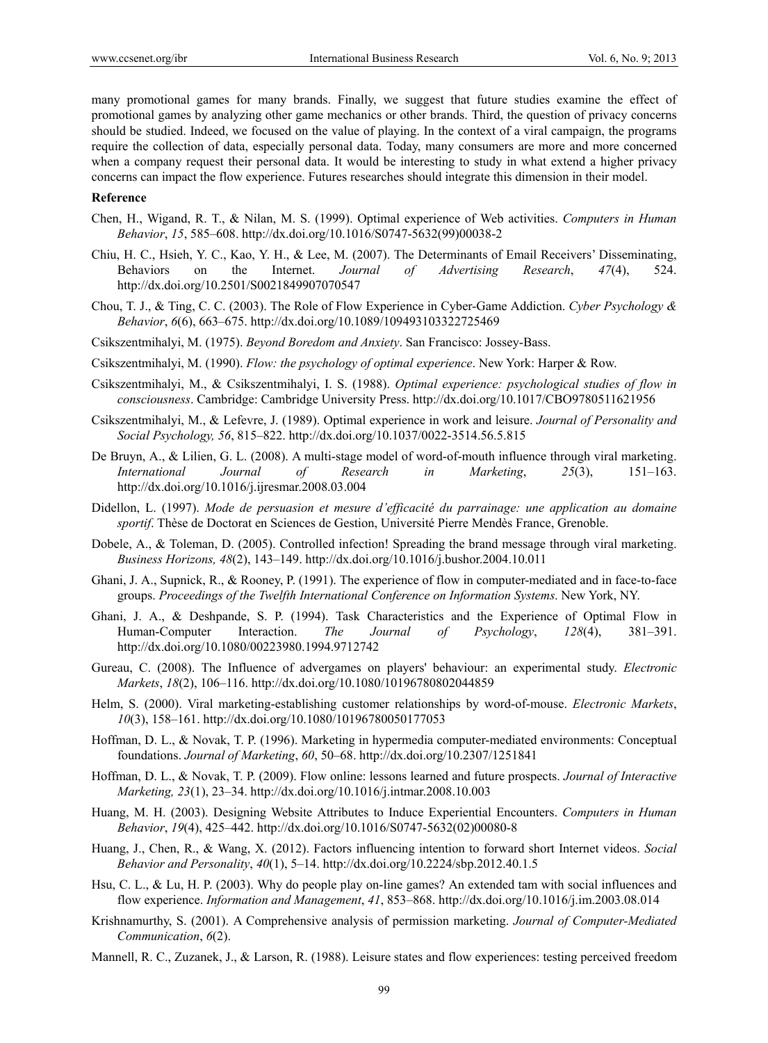many promotional games for many brands. Finally, we suggest that future studies examine the effect of promotional games by analyzing other game mechanics or other brands. Third, the question of privacy concerns should be studied. Indeed, we focused on the value of playing. In the context of a viral campaign, the programs require the collection of data, especially personal data. Today, many consumers are more and more concerned when a company request their personal data. It would be interesting to study in what extend a higher privacy concerns can impact the flow experience. Futures researches should integrate this dimension in their model.

#### **Reference**

- Chen, H., Wigand, R. T., & Nilan, M. S. (1999). Optimal experience of Web activities. *Computers in Human Behavior*, *15*, 585–608. http://dx.doi.org/10.1016/S0747-5632(99)00038-2
- Chiu, H. C., Hsieh, Y. C., Kao, Y. H., & Lee, M. (2007). The Determinants of Email Receivers' Disseminating, Behaviors on the Internet. *Journal of Advertising Research*, *47*(4), 524. http://dx.doi.org/10.2501/S0021849907070547
- Chou, T. J., & Ting, C. C. (2003). The Role of Flow Experience in Cyber-Game Addiction. *Cyber Psychology & Behavior*, *6*(6), 663–675. http://dx.doi.org/10.1089/109493103322725469
- Csikszentmihalyi, M. (1975). *Beyond Boredom and Anxiety*. San Francisco: Jossey-Bass.
- Csikszentmihalyi, M. (1990). *Flow: the psychology of optimal experience*. New York: Harper & Row.
- Csikszentmihalyi, M., & Csikszentmihalyi, I. S. (1988). *Optimal experience: psychological studies of flow in consciousness*. Cambridge: Cambridge University Press. http://dx.doi.org/10.1017/CBO9780511621956
- Csikszentmihalyi, M., & Lefevre, J. (1989). Optimal experience in work and leisure. *Journal of Personality and Social Psychology, 56*, 815–822. http://dx.doi.org/10.1037/0022-3514.56.5.815
- De Bruyn, A., & Lilien, G. L. (2008). A multi-stage model of word-of-mouth influence through viral marketing. *International Journal of Research in Marketing*, *25*(3), 151–163. http://dx.doi.org/10.1016/j.ijresmar.2008.03.004
- Didellon, L. (1997). *Mode de persuasion et mesure d'efficacité du parrainage: une application au domaine sportif*. Thèse de Doctorat en Sciences de Gestion, Université Pierre Mendès France, Grenoble.
- Dobele, A., & Toleman, D. (2005). Controlled infection! Spreading the brand message through viral marketing. *Business Horizons, 48*(2), 143–149. http://dx.doi.org/10.1016/j.bushor.2004.10.011
- Ghani, J. A., Supnick, R., & Rooney, P. (1991). The experience of flow in computer-mediated and in face-to-face groups. *Proceedings of the Twelfth International Conference on Information Systems*. New York, NY.
- Ghani, J. A., & Deshpande, S. P. (1994). Task Characteristics and the Experience of Optimal Flow in Human-Computer Interaction. *The Journal of Psychology*, *128*(4), 381–391. http://dx.doi.org/10.1080/00223980.1994.9712742
- Gureau, C. (2008). The Influence of advergames on players' behaviour: an experimental study. *Electronic Markets*, *18*(2), 106–116. http://dx.doi.org/10.1080/10196780802044859
- Helm, S. (2000). Viral marketing-establishing customer relationships by word-of-mouse. *Electronic Markets*, *10*(3), 158–161. http://dx.doi.org/10.1080/10196780050177053
- Hoffman, D. L., & Novak, T. P. (1996). Marketing in hypermedia computer-mediated environments: Conceptual foundations. *Journal of Marketing*, *60*, 50–68. http://dx.doi.org/10.2307/1251841
- Hoffman, D. L., & Novak, T. P. (2009). Flow online: lessons learned and future prospects. *Journal of Interactive Marketing, 23*(1), 23–34. http://dx.doi.org/10.1016/j.intmar.2008.10.003
- Huang, M. H. (2003). Designing Website Attributes to Induce Experiential Encounters. *Computers in Human Behavior*, *19*(4), 425–442. http://dx.doi.org/10.1016/S0747-5632(02)00080-8
- Huang, J., Chen, R., & Wang, X. (2012). Factors influencing intention to forward short Internet videos. *Social Behavior and Personality*, *40*(1), 5–14. http://dx.doi.org/10.2224/sbp.2012.40.1.5
- Hsu, C. L., & Lu, H. P. (2003). Why do people play on-line games? An extended tam with social influences and flow experience. *Information and Management*, *41*, 853–868. http://dx.doi.org/10.1016/j.im.2003.08.014
- Krishnamurthy, S. (2001). A Comprehensive analysis of permission marketing. *Journal of Computer-Mediated Communication*, *6*(2).
- Mannell, R. C., Zuzanek, J., & Larson, R. (1988). Leisure states and flow experiences: testing perceived freedom